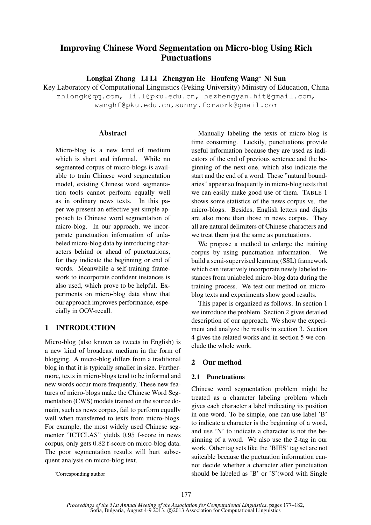# Improving Chinese Word Segmentation on Micro-blog Using Rich **Punctuations**

Longkai Zhang Li Li Zhengyan He Houfeng Wang<sup>∗</sup> Ni Sun

Key Laboratory of Computational Linguistics (Peking University) Ministry of Education, China zhlongk@qq.com, li.l@pku.edu.cn, hezhengyan.hit@gmail.com, wanghf@pku.edu.cn,sunny.forwork@gmail.com

## Abstract

Micro-blog is a new kind of medium which is short and informal. While no segmented corpus of micro-blogs is available to train Chinese word segmentation model, existing Chinese word segmentation tools cannot perform equally well as in ordinary news texts. In this paper we present an effective yet simple approach to Chinese word segmentation of micro-blog. In our approach, we incorporate punctuation information of unlabeled micro-blog data by introducing characters behind or ahead of punctuations, for they indicate the beginning or end of words. Meanwhile a self-training framework to incorporate confident instances is also used, which prove to be helpful. Experiments on micro-blog data show that our approach improves performance, especially in OOV-recall.

## 1 INTRODUCTION

Micro-blog (also known as tweets in English) is a new kind of broadcast medium in the form of blogging. A micro-blog differs from a traditional blog in that it is typically smaller in size. Furthermore, texts in micro-blogs tend to be informal and new words occur more frequently. These new features of micro-blogs make the Chinese Word Segmentation (CWS) models trained on the source domain, such as news corpus, fail to perform equally well when transferred to texts from micro-blogs. For example, the most widely used Chinese segmenter "ICTCLAS" yields 0.95 f-score in news corpus, only gets 0.82 f-score on micro-blog data. The poor segmentation results will hurt subsequent analysis on micro-blog text.

Manually labeling the texts of micro-blog is time consuming. Luckily, punctuations provide useful information because they are used as indicators of the end of previous sentence and the beginning of the next one, which also indicate the start and the end of a word. These "natural boundaries" appear so frequently in micro-blog texts that we can easily make good use of them. TABLE 1 shows some statistics of the news corpus vs. the micro-blogs. Besides, English letters and digits are also more than those in news corpus. They all are natural delimiters of Chinese characters and we treat them just the same as punctuations.

We propose a method to enlarge the training corpus by using punctuation information. We build a semi-supervised learning (SSL) framework which can iteratively incorporate newly labeled instances from unlabeled micro-blog data during the training process. We test our method on microblog texts and experiments show good results.

This paper is organized as follows. In section 1 we introduce the problem. Section 2 gives detailed description of our approach. We show the experiment and analyze the results in section 3. Section 4 gives the related works and in section 5 we conclude the whole work.

## 2 Our method

## 2.1 Punctuations

Chinese word segmentation problem might be treated as a character labeling problem which gives each character a label indicating its position in one word. To be simple, one can use label 'B' to indicate a character is the beginning of a word, and use 'N' to indicate a character is not the beginning of a word. We also use the 2-tag in our work. Other tag sets like the 'BIES' tag set are not suiteable because the puctuation information cannot decide whether a character after punctuation should be labeled as 'B' or 'S'(word with Single

<sup>∗</sup>Corresponding author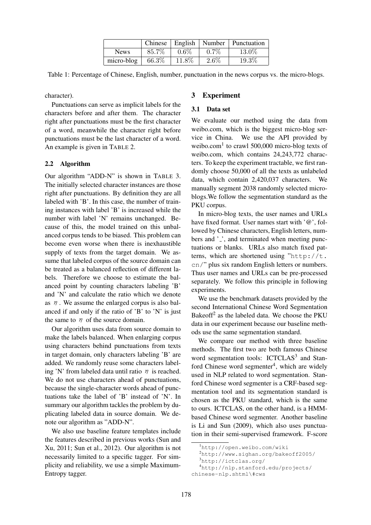|             | Chinese | English |         | Number   Punctuation |
|-------------|---------|---------|---------|----------------------|
| <b>News</b> | 85.7%   | $0.6\%$ | $0.7\%$ | 13.0%                |
| micro-blog  | 66.3%   | 11.8%   | $2.6\%$ | 19.3%                |

Table 1: Percentage of Chinese, English, number, punctuation in the news corpus vs. the micro-blogs.

character).

Punctuations can serve as implicit labels for the characters before and after them. The character right after punctuations must be the first character of a word, meanwhile the character right before punctuations must be the last character of a word. An example is given in TABLE 2.

## 2.2 Algorithm

Our algorithm "ADD-N" is shown in TABLE 3. The initially selected character instances are those right after punctuations. By definition they are all labeled with 'B'. In this case, the number of training instances with label 'B' is increased while the number with label 'N' remains unchanged. Because of this, the model trained on this unbalanced corpus tends to be biased. This problem can become even worse when there is inexhaustible supply of texts from the target domain. We assume that labeled corpus of the source domain can be treated as a balanced reflection of different labels. Therefore we choose to estimate the balanced point by counting characters labeling 'B' and 'N' and calculate the ratio which we denote as  $\eta$ . We assume the enlarged corpus is also balanced if and only if the ratio of 'B' to 'N' is just the same to  $\eta$  of the source domain.

Our algorithm uses data from source domain to make the labels balanced. When enlarging corpus using characters behind punctuations from texts in target domain, only characters labeling 'B' are added. We randomly reuse some characters labeling 'N' from labeled data until ratio  $\eta$  is reached. We do not use characters ahead of punctuations, because the single-character words ahead of punctuations take the label of 'B' instead of 'N'. In summary our algorithm tackles the problem by duplicating labeled data in source domain. We denote our algorithm as "ADD-N".

We also use baseline feature templates include the features described in previous works (Sun and Xu, 2011; Sun et al., 2012). Our algorithm is not necessarily limited to a specific tagger. For simplicity and reliability, we use a simple Maximum-Entropy tagger.

## 3 Experiment

#### 3.1 Data set

We evaluate our method using the data from weibo.com, which is the biggest micro-blog service in China. We use the API provided by weibo.com<sup>1</sup> to crawl 500,000 micro-blog texts of weibo.com, which contains 24,243,772 characters. To keep the experiment tractable, we first randomly choose 50,000 of all the texts as unlabeled data, which contain 2,420,037 characters. We manually segment 2038 randomly selected microblogs.We follow the segmentation standard as the PKU corpus.

In micro-blog texts, the user names and URLs have fixed format. User names start with '@', followed by Chinese characters, English letters, numbers and '<sub>-</sub>', and terminated when meeting punctuations or blanks. URLs also match fixed patterns, which are shortened using "http://t. cn/" plus six random English letters or numbers. Thus user names and URLs can be pre-processed separately. We follow this principle in following experiments.

We use the benchmark datasets provided by the second International Chinese Word Segmentation Bakeoff<sup>2</sup> as the labeled data. We choose the PKU data in our experiment because our baseline methods use the same segmentation standard.

We compare our method with three baseline methods. The first two are both famous Chinese word segmentation tools: ICTCLAS<sup>3</sup> and Stanford Chinese word segmenter<sup>4</sup>, which are widely used in NLP related to word segmentation. Stanford Chinese word segmenter is a CRF-based segmentation tool and its segmentation standard is chosen as the PKU standard, which is the same to ours. ICTCLAS, on the other hand, is a HMMbased Chinese word segmenter. Another baseline is Li and Sun (2009), which also uses punctuation in their semi-supervised framework. F-score

<sup>1</sup>http://open.weibo.com/wiki

<sup>2</sup>http://www.sighan.org/bakeoff2005/

<sup>3</sup>http://ictclas.org/

<sup>4</sup>http://nlp.stanford.edu/projects/

chinese-nlp.shtml\#cws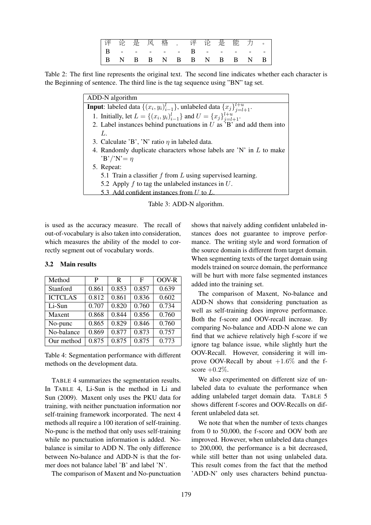|  |  |  | 评论是风格,评论是能力。                      |  |  |  |
|--|--|--|-----------------------------------|--|--|--|
|  |  |  |                                   |  |  |  |
|  |  |  | $B$ N B B N B B N B B N B $\vert$ |  |  |  |

Table 2: The first line represents the original text. The second line indicates whether each character is the Beginning of sentence. The third line is the tag sequence using "BN" tag set.

| ADD-N algorithm                                                                                |  |  |  |  |  |
|------------------------------------------------------------------------------------------------|--|--|--|--|--|
| <b>Input:</b> labeled data $\{(x_i, y_i)_{i=1}^l\}$ , unlabeled data $\{x_j\}_{i=l+1}^{l+u}$ . |  |  |  |  |  |
| 1. Initially, let $L = \{(x_i, y_i)_{i=1}^l\}$ and $U = \{x_j\}_{j=l+1}^{l+u}$ .               |  |  |  |  |  |
| 2. Label instances behind punctuations in $U$ as 'B' and add them into                         |  |  |  |  |  |
| L                                                                                              |  |  |  |  |  |
| 3. Calculate 'B', 'N' ratio $\eta$ in labeled data.                                            |  |  |  |  |  |
| 4. Randomly duplicate characters whose labels are 'N' in $L$ to make                           |  |  |  |  |  |
| $B'/N' = \eta$                                                                                 |  |  |  |  |  |
| 5. Repeat:                                                                                     |  |  |  |  |  |
| 5.1 Train a classifier $f$ from $L$ using supervised learning.                                 |  |  |  |  |  |
| 5.2 Apply $f$ to tag the unlabeled instances in $U$ .                                          |  |  |  |  |  |
| 5.3 Add confident instances from U to L.                                                       |  |  |  |  |  |
|                                                                                                |  |  |  |  |  |

Table 3: ADD-N algorithm.

is used as the accuracy measure. The recall of out-of-vocabulary is also taken into consideration, which measures the ability of the model to correctly segment out of vocabulary words.

| Method         | P     | R     | F     | OOV-R |
|----------------|-------|-------|-------|-------|
| Stanford       | 0.861 | 0.853 | 0.857 | 0.639 |
| <b>ICTCLAS</b> | 0.812 | 0.861 | 0.836 | 0.602 |
| Li-Sun         | 0.707 | 0.820 | 0.760 | 0.734 |
| Maxent         | 0.868 | 0.844 | 0.856 | 0.760 |
| No-punc        | 0.865 | 0.829 | 0.846 | 0.760 |
| No-balance     | 0.869 | 0.877 | 0.873 | 0.757 |
| Our method     | 0.875 | 0.875 | 0.875 | 0.773 |

#### 3.2 Main results

Table 4: Segmentation performance with different methods on the development data.

TABLE 4 summarizes the segmentation results. In TABLE 4, Li-Sun is the method in Li and Sun (2009). Maxent only uses the PKU data for training, with neither punctuation information nor self-training framework incorporated. The next 4 methods all require a 100 iteration of self-training. No-punc is the method that only uses self-training while no punctuation information is added. Nobalance is similar to ADD N. The only difference between No-balance and ADD-N is that the former does not balance label 'B' and label 'N'.

The comparison of Maxent and No-punctuation

shows that naively adding confident unlabeled instances does not guarantee to improve performance. The writing style and word formation of the source domain is different from target domain. When segmenting texts of the target domain using models trained on source domain, the performance will be hurt with more false segmented instances added into the training set.

The comparison of Maxent, No-balance and ADD-N shows that considering punctuation as well as self-training does improve performance. Both the f-score and OOV-recall increase. By comparing No-balance and ADD-N alone we can find that we achieve relatively high f-score if we ignore tag balance issue, while slightly hurt the OOV-Recall. However, considering it will improve OOV-Recall by about  $+1.6\%$  and the fscore  $+0.2\%$ .

We also experimented on different size of unlabeled data to evaluate the performance when adding unlabeled target domain data. TABLE 5 shows different f-scores and OOV-Recalls on different unlabeled data set.

We note that when the number of texts changes from 0 to 50,000, the f-score and OOV both are improved. However, when unlabeled data changes to 200,000, the performance is a bit decreased, while still better than not using unlabeled data. This result comes from the fact that the method 'ADD-N' only uses characters behind punctua-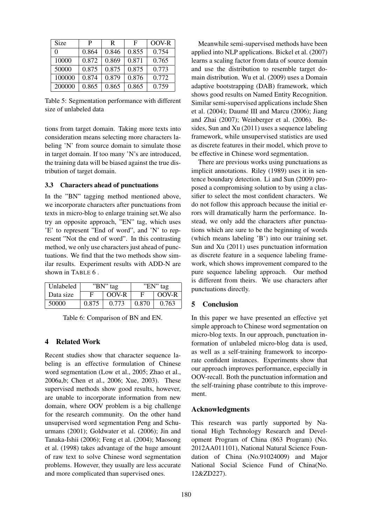| Size     | P     | R     | F     | OOV-R |
|----------|-------|-------|-------|-------|
| $\Omega$ | 0.864 | 0.846 | 0.855 | 0.754 |
| 10000    | 0.872 | 0.869 | 0.871 | 0.765 |
| 50000    | 0.875 | 0.875 | 0.875 | 0.773 |
| 100000   | 0.874 | 0.879 | 0.876 | 0.772 |
| 200000   | 0.865 | 0.865 | 0.865 | 0.759 |

Table 5: Segmentation performance with different size of unlabeled data

tions from target domain. Taking more texts into consideration means selecting more characters labeling 'N' from source domain to simulate those in target domain. If too many 'N's are introduced, the training data will be biased against the true distribution of target domain.

#### 3.3 Characters ahead of punctuations

In the "BN" tagging method mentioned above, we incorporate characters after punctuations from texts in micro-blog to enlarge training set.We also try an opposite approach, "EN" tag, which uses 'E' to represent "End of word", and 'N' to represent "Not the end of word". In this contrasting method, we only use characters just ahead of punctuations. We find that the two methods show similar results. Experiment results with ADD-N are shown in TABLE 6 .

| Unlabeled |       | "BN" tag | "EN" tag |       |  |
|-----------|-------|----------|----------|-------|--|
| Data size | F     | OOV-R    | E        | OOV-R |  |
| 50000     | 0.875 | 0.773    | 0.870    | 0.763 |  |

Table 6: Comparison of BN and EN.

### 4 Related Work

Recent studies show that character sequence labeling is an effective formulation of Chinese word segmentation (Low et al., 2005; Zhao et al., 2006a,b; Chen et al., 2006; Xue, 2003). These supervised methods show good results, however, are unable to incorporate information from new domain, where OOV problem is a big challenge for the research community. On the other hand unsupervised word segmentation Peng and Schuurmans (2001); Goldwater et al. (2006); Jin and Tanaka-Ishii (2006); Feng et al. (2004); Maosong et al. (1998) takes advantage of the huge amount of raw text to solve Chinese word segmentation problems. However, they usually are less accurate and more complicated than supervised ones.

Meanwhile semi-supervised methods have been applied into NLP applications. Bickel et al. (2007) learns a scaling factor from data of source domain and use the distribution to resemble target domain distribution. Wu et al. (2009) uses a Domain adaptive bootstrapping (DAB) framework, which shows good results on Named Entity Recognition. Similar semi-supervised applications include Shen et al.  $(2004)$ ; Daumé III and Marcu  $(2006)$ ; Jiang and Zhai (2007); Weinberger et al. (2006). Besides, Sun and Xu (2011) uses a sequence labeling framework, while unsupervised statistics are used as discrete features in their model, which prove to be effective in Chinese word segmentation.

There are previous works using punctuations as implicit annotations. Riley (1989) uses it in sentence boundary detection. Li and Sun (2009) proposed a compromising solution to by using a classifier to select the most confident characters. We do not follow this approach because the initial errors will dramatically harm the performance. Instead, we only add the characters after punctuations which are sure to be the beginning of words (which means labeling 'B') into our training set. Sun and Xu (2011) uses punctuation information as discrete feature in a sequence labeling framework, which shows improvement compared to the pure sequence labeling approach. Our method is different from theirs. We use characters after punctuations directly.

#### 5 Conclusion

In this paper we have presented an effective yet simple approach to Chinese word segmentation on micro-blog texts. In our approach, punctuation information of unlabeled micro-blog data is used, as well as a self-training framework to incorporate confident instances. Experiments show that our approach improves performance, especially in OOV-recall. Both the punctuation information and the self-training phase contribute to this improvement.

### Acknowledgments

This research was partly supported by National High Technology Research and Development Program of China (863 Program) (No. 2012AA011101), National Natural Science Foundation of China (No.91024009) and Major National Social Science Fund of China(No. 12&ZD227).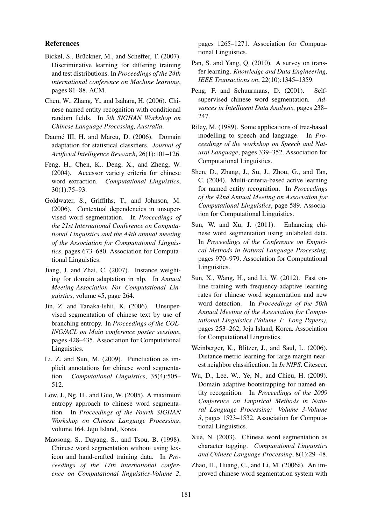#### References

- Bickel, S., Brückner, M., and Scheffer, T. (2007). Discriminative learning for differing training and test distributions. In *Proceedings of the 24th international conference on Machine learning*, pages 81–88. ACM.
- Chen, W., Zhang, Y., and Isahara, H. (2006). Chinese named entity recognition with conditional random fields. In *5th SIGHAN Workshop on Chinese Language Processing, Australia*.
- Daumé III, H. and Marcu, D. (2006). Domain adaptation for statistical classifiers. *Journal of Artificial Intelligence Research*, 26(1):101–126.
- Feng, H., Chen, K., Deng, X., and Zheng, W. (2004). Accessor variety criteria for chinese word extraction. *Computational Linguistics*, 30(1):75–93.
- Goldwater, S., Griffiths, T., and Johnson, M. (2006). Contextual dependencies in unsupervised word segmentation. In *Proceedings of the 21st International Conference on Computational Linguistics and the 44th annual meeting of the Association for Computational Linguistics*, pages 673–680. Association for Computational Linguistics.
- Jiang, J. and Zhai, C. (2007). Instance weighting for domain adaptation in nlp. In *Annual Meeting-Association For Computational Linguistics*, volume 45, page 264.
- Jin, Z. and Tanaka-Ishii, K. (2006). Unsupervised segmentation of chinese text by use of branching entropy. In *Proceedings of the COL-ING/ACL on Main conference poster sessions*, pages 428–435. Association for Computational Linguistics.
- Li, Z. and Sun, M. (2009). Punctuation as implicit annotations for chinese word segmentation. *Computational Linguistics*, 35(4):505– 512.
- Low, J., Ng, H., and Guo, W. (2005). A maximum entropy approach to chinese word segmentation. In *Proceedings of the Fourth SIGHAN Workshop on Chinese Language Processing*, volume 164. Jeju Island, Korea.
- Maosong, S., Dayang, S., and Tsou, B. (1998). Chinese word segmentation without using lexicon and hand-crafted training data. In *Proceedings of the 17th international conference on Computational linguistics-Volume 2*,

pages 1265–1271. Association for Computational Linguistics.

- Pan, S. and Yang, Q. (2010). A survey on transfer learning. *Knowledge and Data Engineering, IEEE Transactions on*, 22(10):1345–1359.
- Peng, F. and Schuurmans, D. (2001). Selfsupervised chinese word segmentation. *Advances in Intelligent Data Analysis*, pages 238– 247.
- Riley, M. (1989). Some applications of tree-based modelling to speech and language. In *Proceedings of the workshop on Speech and Natural Language*, pages 339–352. Association for Computational Linguistics.
- Shen, D., Zhang, J., Su, J., Zhou, G., and Tan, C. (2004). Multi-criteria-based active learning for named entity recognition. In *Proceedings of the 42nd Annual Meeting on Association for Computational Linguistics*, page 589. Association for Computational Linguistics.
- Sun, W. and Xu, J. (2011). Enhancing chinese word segmentation using unlabeled data. In *Proceedings of the Conference on Empirical Methods in Natural Language Processing*, pages 970–979. Association for Computational Linguistics.
- Sun, X., Wang, H., and Li, W. (2012). Fast online training with frequency-adaptive learning rates for chinese word segmentation and new word detection. In *Proceedings of the 50th Annual Meeting of the Association for Computational Linguistics (Volume 1: Long Papers)*, pages 253–262, Jeju Island, Korea. Association for Computational Linguistics.
- Weinberger, K., Blitzer, J., and Saul, L. (2006). Distance metric learning for large margin nearest neighbor classification. In *In NIPS*. Citeseer.
- Wu, D., Lee, W., Ye, N., and Chieu, H. (2009). Domain adaptive bootstrapping for named entity recognition. In *Proceedings of the 2009 Conference on Empirical Methods in Natural Language Processing: Volume 3-Volume 3*, pages 1523–1532. Association for Computational Linguistics.
- Xue, N. (2003). Chinese word segmentation as character tagging. *Computational Linguistics and Chinese Language Processing*, 8(1):29–48.
- Zhao, H., Huang, C., and Li, M. (2006a). An improved chinese word segmentation system with